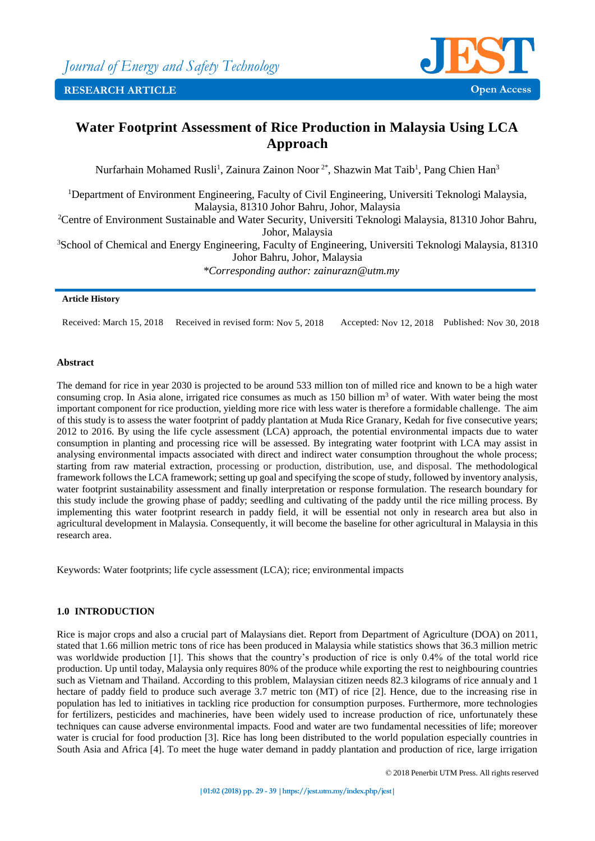

# **Water Footprint Assessment of Rice Production in Malaysia Using LCA Approach**

Nurfarhain Mohamed Rusli<sup>1</sup>, Zainura Zainon Noor<sup>2\*</sup>, Shazwin Mat Taib<sup>1</sup>, Pang Chien Han<sup>3</sup>

<sup>1</sup>Department of Environment Engineering, Faculty of Civil Engineering, Universiti Teknologi Malaysia, Malaysia, 81310 Johor Bahru, Johor, Malaysia <sup>2</sup>Centre of Environment Sustainable and Water Security, Universiti Teknologi Malaysia, 81310 Johor Bahru,

Johor, Malaysia

<sup>3</sup>School of Chemical and Energy Engineering, Faculty of Engineering, Universiti Teknologi Malaysia, 81310 Johor Bahru, Johor, Malaysia

*\*Corresponding author: zainurazn@utm.my*

### **Article History**

Received: March 15, 2018 Received in revised form: Nov 5, 2018 Accepted: Nov 12, 2018 Published: Nov 30, 2018

# **Abstract**

The demand for rice in year 2030 is projected to be around 533 million ton of milled rice and known to be a high water consuming crop. In Asia alone, irrigated rice consumes as much as  $150$  billion m<sup>3</sup> of water. With water being the most important component for rice production, yielding more rice with less water is therefore a formidable challenge. The aim of this study is to assess the water footprint of paddy plantation at Muda Rice Granary, Kedah for five consecutive years; 2012 to 2016. By using the life cycle assessment (LCA) approach, the potential environmental impacts due to water consumption in planting and processing rice will be assessed. By integrating water footprint with LCA may assist in analysing environmental impacts associated with direct and indirect water consumption throughout the whole process; starting from raw material extraction, processing or production, distribution, use, and disposal. The methodological framework follows the LCA framework; setting up goal and specifying the scope of study, followed by inventory analysis, water footprint sustainability assessment and finally interpretation or response formulation. The research boundary for this study include the growing phase of paddy; seedling and cultivating of the paddy until the rice milling process. By implementing this water footprint research in paddy field, it will be essential not only in research area but also in agricultural development in Malaysia. Consequently, it will become the baseline for other agricultural in Malaysia in this research area.

Keywords: Water footprints; life cycle assessment (LCA); rice; environmental impacts

# **1.0 INTRODUCTION**

Rice is major crops and also a crucial part of Malaysians diet. Report from Department of Agriculture (DOA) on 2011, stated that 1.66 million metric tons of rice has been produced in Malaysia while statistics shows that 36.3 million metric was worldwide production [1]. This shows that the country's production of rice is only 0.4% of the total world rice production. Up until today, Malaysia only requires 80% of the produce while exporting the rest to neighbouring countries such as Vietnam and Thailand. According to this problem, Malaysian citizen needs 82.3 kilograms of rice annualy and 1 hectare of paddy field to produce such average 3.7 metric ton (MT) of rice [2]. Hence, due to the increasing rise in population has led to initiatives in tackling rice production for consumption purposes. Furthermore, more technologies for fertilizers, pesticides and machineries, have been widely used to increase production of rice, unfortunately these techniques can cause adverse environmental impacts. Food and water are two fundamental necessities of life; moreover water is crucial for food production [3]. Rice has long been distributed to the world population especially countries in South Asia and Africa [4]. To meet the huge water demand in paddy plantation and production of rice, large irrigation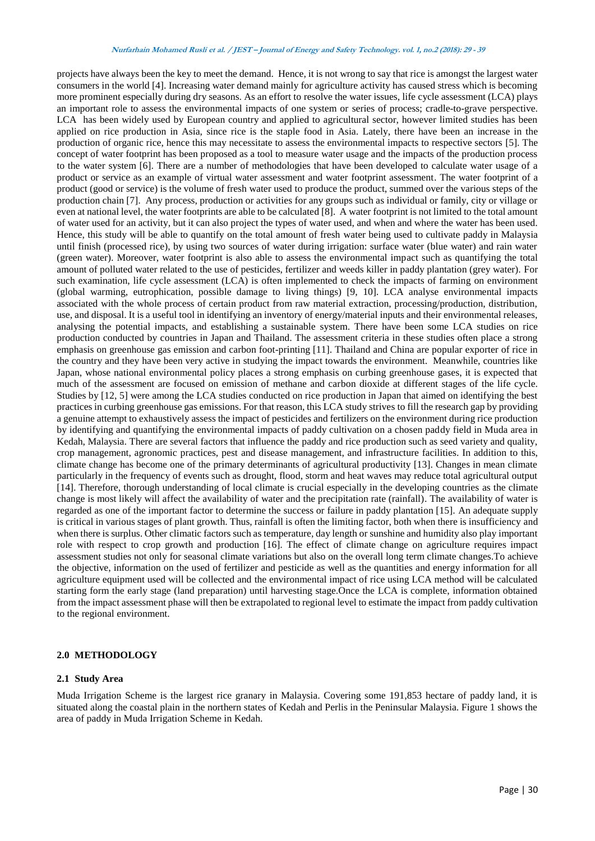projects have always been the key to meet the demand. Hence, it is not wrong to say that rice is amongst the largest water consumers in the world [4]. Increasing water demand mainly for agriculture activity has caused stress which is becoming more prominent especially during dry seasons. As an effort to resolve the water issues, life cycle assessment (LCA) plays an important role to assess the environmental impacts of one system or series of process; cradle-to-grave perspective. LCA has been widely used by European country and applied to agricultural sector, however limited studies has been applied on rice production in Asia, since rice is the staple food in Asia. Lately, there have been an increase in the production of organic rice, hence this may necessitate to assess the environmental impacts to respective sectors [5]. The concept of water footprint has been proposed as a tool to measure water usage and the impacts of the production process to the water system [6]. There are a number of methodologies that have been developed to calculate water usage of a product or service as an example of virtual water assessment and water footprint assessment. The water footprint of a product (good or service) is the volume of fresh water used to produce the product, summed over the various steps of the production chain [7]. Any process, production or activities for any groups such as individual or family, city or village or even at national level, the water footprints are able to be calculated [8]. A water footprint is not limited to the total amount of water used for an activity, but it can also project the types of water used, and when and where the water has been used. Hence, this study will be able to quantify on the total amount of fresh water being used to cultivate paddy in Malaysia until finish (processed rice), by using two sources of water during irrigation: surface water (blue water) and rain water (green water). Moreover, water footprint is also able to assess the environmental impact such as quantifying the total amount of polluted water related to the use of pesticides, fertilizer and weeds killer in paddy plantation (grey water). For such examination, life cycle assessment (LCA) is often implemented to check the impacts of farming on environment (global warming, eutrophication, possible damage to living things) [9, 10]. LCA analyse environmental impacts associated with the whole process of certain product from raw material extraction, processing/production, distribution, use, and disposal. It is a useful tool in identifying an inventory of energy/material inputs and their environmental releases, analysing the potential impacts, and establishing a sustainable system. There have been some LCA studies on rice production conducted by countries in Japan and Thailand. The assessment criteria in these studies often place a strong emphasis on greenhouse gas emission and carbon foot-printing [11]. Thailand and China are popular exporter of rice in the country and they have been very active in studying the impact towards the environment. Meanwhile, countries like Japan, whose national environmental policy places a strong emphasis on curbing greenhouse gases, it is expected that much of the assessment are focused on emission of methane and carbon dioxide at different stages of the life cycle. Studies by [12, 5] were among the LCA studies conducted on rice production in Japan that aimed on identifying the best practices in curbing greenhouse gas emissions. For that reason, this LCA study strives to fill the research gap by providing a genuine attempt to exhaustively assess the impact of pesticides and fertilizers on the environment during rice production by identifying and quantifying the environmental impacts of paddy cultivation on a chosen paddy field in Muda area in Kedah, Malaysia. There are several factors that influence the paddy and rice production such as seed variety and quality, crop management, agronomic practices, pest and disease management, and infrastructure facilities. In addition to this, climate change has become one of the primary determinants of agricultural productivity [13]. Changes in mean climate particularly in the frequency of events such as drought, flood, storm and heat waves may reduce total agricultural output [14]. Therefore, thorough understanding of local climate is crucial especially in the developing countries as the climate change is most likely will affect the availability of water and the precipitation rate (rainfall). The availability of water is regarded as one of the important factor to determine the success or failure in paddy plantation [15]. An adequate supply is critical in various stages of plant growth. Thus, rainfall is often the limiting factor, both when there is insufficiency and when there is surplus. Other climatic factors such as temperature, day length or sunshine and humidity also play important role with respect to crop growth and production [16]. The effect of climate change on agriculture requires impact assessment studies not only for seasonal climate variations but also on the overall long term climate changes.To achieve the objective, information on the used of fertilizer and pesticide as well as the quantities and energy information for all agriculture equipment used will be collected and the environmental impact of rice using LCA method will be calculated starting form the early stage (land preparation) until harvesting stage.Once the LCA is complete, information obtained from the impact assessment phase will then be extrapolated to regional level to estimate the impact from paddy cultivation to the regional environment.

#### **2.0 METHODOLOGY**

#### **2.1 Study Area**

Muda Irrigation Scheme is the largest rice granary in Malaysia. Covering some 191,853 hectare of paddy land, it is situated along the coastal plain in the northern states of Kedah and Perlis in the Peninsular Malaysia. Figure 1 shows the area of paddy in Muda Irrigation Scheme in Kedah.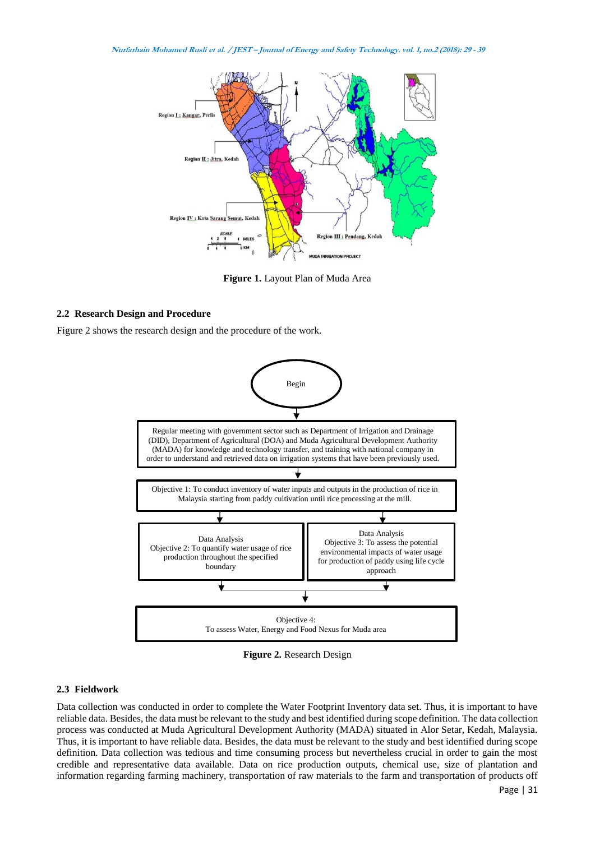

**Figure 1.** Layout Plan of Muda Area

#### **2.2 Research Design and Procedure**

Figure 2 shows the research design and the procedure of the work.



**Figure 2.** Research Design

#### **2.3 Fieldwork**

Data collection was conducted in order to complete the Water Footprint Inventory data set. Thus, it is important to have reliable data. Besides, the data must be relevant to the study and best identified during scope definition. The data collection process was conducted at Muda Agricultural Development Authority (MADA) situated in Alor Setar, Kedah, Malaysia. Thus, it is important to have reliable data. Besides, the data must be relevant to the study and best identified during scope definition. Data collection was tedious and time consuming process but nevertheless crucial in order to gain the most credible and representative data available. Data on rice production outputs, chemical use, size of plantation and information regarding farming machinery, transportation of raw materials to the farm and transportation of products off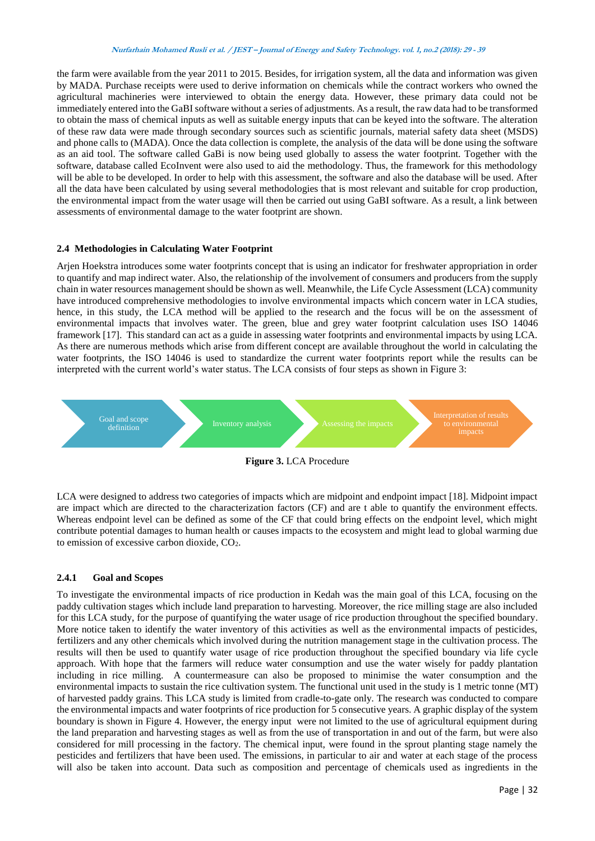the farm were available from the year 2011 to 2015. Besides, for irrigation system, all the data and information was given by MADA. Purchase receipts were used to derive information on chemicals while the contract workers who owned the agricultural machineries were interviewed to obtain the energy data. However, these primary data could not be immediately entered into the GaBI software without a series of adjustments. As a result, the raw data had to be transformed to obtain the mass of chemical inputs as well as suitable energy inputs that can be keyed into the software. The alteration of these raw data were made through secondary sources such as scientific journals, material safety data sheet (MSDS) and phone calls to (MADA). Once the data collection is complete, the analysis of the data will be done using the software as an aid tool. The software called GaBi is now being used globally to assess the water footprint. Together with the software, database called EcoInvent were also used to aid the methodology. Thus, the framework for this methodology will be able to be developed. In order to help with this assessment, the software and also the database will be used. After all the data have been calculated by using several methodologies that is most relevant and suitable for crop production, the environmental impact from the water usage will then be carried out using GaBI software. As a result, a link between assessments of environmental damage to the water footprint are shown.

### **2.4 Methodologies in Calculating Water Footprint**

Arjen Hoekstra introduces some water footprints concept that is using an indicator for freshwater appropriation in order to quantify and map indirect water. Also, the relationship of the involvement of consumers and producers from the supply chain in water resources management should be shown as well. Meanwhile, the Life Cycle Assessment (LCA) community have introduced comprehensive methodologies to involve environmental impacts which concern water in LCA studies, hence, in this study, the LCA method will be applied to the research and the focus will be on the assessment of environmental impacts that involves water. The green, blue and grey water footprint calculation uses ISO 14046 framework [17]. This standard can act as a guide in assessing water footprints and environmental impacts by using LCA. As there are numerous methods which arise from different concept are available throughout the world in calculating the water footprints, the ISO 14046 is used to standardize the current water footprints report while the results can be interpreted with the current world's water status. The LCA consists of four steps as shown in Figure 3:



**Figure 3.** LCA Procedure

LCA were designed to address two categories of impacts which are midpoint and endpoint impact [18]. Midpoint impact are impact which are directed to the characterization factors (CF) and are t able to quantify the environment effects. Whereas endpoint level can be defined as some of the CF that could bring effects on the endpoint level, which might contribute potential damages to human health or causes impacts to the ecosystem and might lead to global warming due to emission of excessive carbon dioxide,  $CO<sub>2</sub>$ .

# **2.4.1 Goal and Scopes**

To investigate the environmental impacts of rice production in Kedah was the main goal of this LCA, focusing on the paddy cultivation stages which include land preparation to harvesting. Moreover, the rice milling stage are also included for this LCA study, for the purpose of quantifying the water usage of rice production throughout the specified boundary. More notice taken to identify the water inventory of this activities as well as the environmental impacts of pesticides, fertilizers and any other chemicals which involved during the nutrition management stage in the cultivation process. The results will then be used to quantify water usage of rice production throughout the specified boundary via life cycle approach. With hope that the farmers will reduce water consumption and use the water wisely for paddy plantation including in rice milling. A countermeasure can also be proposed to minimise the water consumption and the environmental impacts to sustain the rice cultivation system. The functional unit used in the study is 1 metric tonne (MT) of harvested paddy grains. This LCA study is limited from cradle-to-gate only. The research was conducted to compare the environmental impacts and water footprints of rice production for 5 consecutive years. A graphic display of the system boundary is shown in Figure 4. However, the energy input were not limited to the use of agricultural equipment during the land preparation and harvesting stages as well as from the use of transportation in and out of the farm, but were also considered for mill processing in the factory. The chemical input, were found in the sprout planting stage namely the pesticides and fertilizers that have been used. The emissions, in particular to air and water at each stage of the process will also be taken into account. Data such as composition and percentage of chemicals used as ingredients in the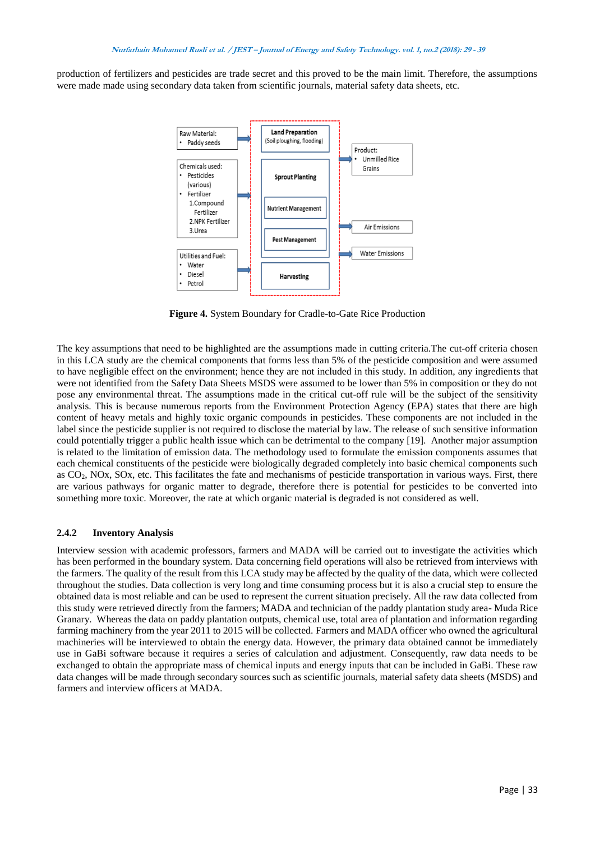production of fertilizers and pesticides are trade secret and this proved to be the main limit. Therefore, the assumptions were made made using secondary data taken from scientific journals, material safety data sheets, etc.



**Figure 4.** System Boundary for Cradle-to-Gate Rice Production

The key assumptions that need to be highlighted are the assumptions made in cutting criteria.The cut-off criteria chosen in this LCA study are the chemical components that forms less than 5% of the pesticide composition and were assumed to have negligible effect on the environment; hence they are not included in this study. In addition, any ingredients that were not identified from the Safety Data Sheets MSDS were assumed to be lower than 5% in composition or they do not pose any environmental threat. The assumptions made in the critical cut-off rule will be the subject of the sensitivity analysis. This is because numerous reports from the Environment Protection Agency (EPA) states that there are high content of heavy metals and highly toxic organic compounds in pesticides. These components are not included in the label since the pesticide supplier is not required to disclose the material by law. The release of such sensitive information could potentially trigger a public health issue which can be detrimental to the company [19]. Another major assumption is related to the limitation of emission data. The methodology used to formulate the emission components assumes that each chemical constituents of the pesticide were biologically degraded completely into basic chemical components such as CO2, NOx, SOx, etc. This facilitates the fate and mechanisms of pesticide transportation in various ways. First, there are various pathways for organic matter to degrade, therefore there is potential for pesticides to be converted into something more toxic. Moreover, the rate at which organic material is degraded is not considered as well.

### **2.4.2 Inventory Analysis**

Interview session with academic professors, farmers and MADA will be carried out to investigate the activities which has been performed in the boundary system. Data concerning field operations will also be retrieved from interviews with the farmers. The quality of the result from this LCA study may be affected by the quality of the data, which were collected throughout the studies. Data collection is very long and time consuming process but it is also a crucial step to ensure the obtained data is most reliable and can be used to represent the current situation precisely. All the raw data collected from this study were retrieved directly from the farmers; MADA and technician of the paddy plantation study area- Muda Rice Granary. Whereas the data on paddy plantation outputs, chemical use, total area of plantation and information regarding farming machinery from the year 2011 to 2015 will be collected. Farmers and MADA officer who owned the agricultural machineries will be interviewed to obtain the energy data. However, the primary data obtained cannot be immediately use in GaBi software because it requires a series of calculation and adjustment. Consequently, raw data needs to be exchanged to obtain the appropriate mass of chemical inputs and energy inputs that can be included in GaBi. These raw data changes will be made through secondary sources such as scientific journals, material safety data sheets (MSDS) and farmers and interview officers at MADA.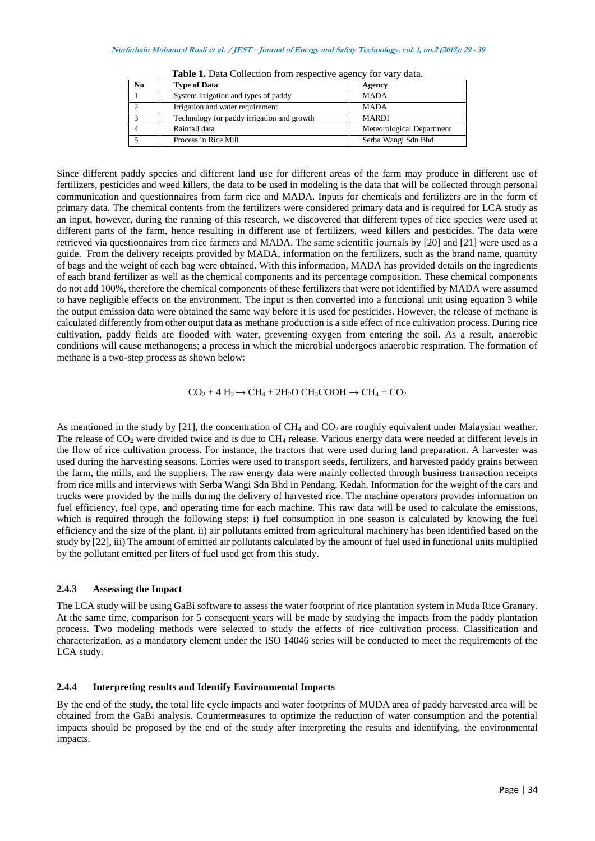| N <sub>0</sub> | <b>Type of Data</b>                        | Agency                    |
|----------------|--------------------------------------------|---------------------------|
|                | System irrigation and types of paddy       | <b>MADA</b>               |
|                | Irrigation and water requirement           | <b>MADA</b>               |
|                | Technology for paddy irrigation and growth | <b>MARDI</b>              |
|                | Rainfall data                              | Meteorological Department |
|                | Process in Rice Mill                       | Serba Wangi Sdn Bhd       |

**Table 1.** Data Collection from respective agency for vary data.

Since different paddy species and different land use for different areas of the farm may produce in different use of fertilizers, pesticides and weed killers, the data to be used in modeling is the data that will be collected through personal communication and questionnaires from farm rice and MADA. Inputs for chemicals and fertilizers are in the form of primary data. The chemical contents from the fertilizers were considered primary data and is required for LCA study as an input, however, during the running of this research, we discovered that different types of rice species were used at different parts of the farm, hence resulting in different use of fertilizers, weed killers and pesticides. The data were retrieved via questionnaires from rice farmers and MADA. The same scientific journals by [20] and [21] were used as a guide. From the delivery receipts provided by MADA, information on the fertilizers, such as the brand name, quantity of bags and the weight of each bag were obtained. With this information, MADA has provided details on the ingredients of each brand fertilizer as well as the chemical components and its percentage composition. These chemical components do not add 100%, therefore the chemical components of these fertilizers that were not identified by MADA were assumed to have negligible effects on the environment. The input is then converted into a functional unit using equation 3 while the output emission data were obtained the same way before it is used for pesticides. However, the release of methane is calculated differently from other output data as methane production is a side effect of rice cultivation process. During rice cultivation, paddy fields are flooded with water, preventing oxygen from entering the soil. As a result, anaerobic conditions will cause methanogens; a process in which the microbial undergoes anaerobic respiration. The formation of methane is a two-step process as shown below:

$$
CO_2 + 4 H_2 \rightarrow CH_4 + 2 H_2O CH_3COOH \rightarrow CH_4 + CO_2
$$

As mentioned in the study by [21], the concentration of  $CH_4$  and  $CO_2$  are roughly equivalent under Malaysian weather. The release of  $CO_2$  were divided twice and is due to  $CH_4$  release. Various energy data were needed at different levels in the flow of rice cultivation process. For instance, the tractors that were used during land preparation. A harvester was used during the harvesting seasons. Lorries were used to transport seeds, fertilizers, and harvested paddy grains between the farm, the mills, and the suppliers. The raw energy data were mainly collected through business transaction receipts from rice mills and interviews with Serba Wangi Sdn Bhd in Pendang, Kedah. Information for the weight of the cars and trucks were provided by the mills during the delivery of harvested rice. The machine operators provides information on fuel efficiency, fuel type, and operating time for each machine. This raw data will be used to calculate the emissions, which is required through the following steps: i) fuel consumption in one season is calculated by knowing the fuel efficiency and the size of the plant. ii) air pollutants emitted from agricultural machinery has been identified based on the study by [22], iii) The amount of emitted air pollutants calculated by the amount of fuel used in functional units multiplied by the pollutant emitted per liters of fuel used get from this study.

### **2.4.3 Assessing the Impact**

The LCA study will be using GaBi software to assess the water footprint of rice plantation system in Muda Rice Granary. At the same time, comparison for 5 consequent years will be made by studying the impacts from the paddy plantation process. Two modeling methods were selected to study the effects of rice cultivation process. Classification and characterization, as a mandatory element under the ISO 14046 series will be conducted to meet the requirements of the LCA study.

### **2.4.4 Interpreting results and Identify Environmental Impacts**

By the end of the study, the total life cycle impacts and water footprints of MUDA area of paddy harvested area will be obtained from the GaBi analysis. Countermeasures to optimize the reduction of water consumption and the potential impacts should be proposed by the end of the study after interpreting the results and identifying, the environmental impacts.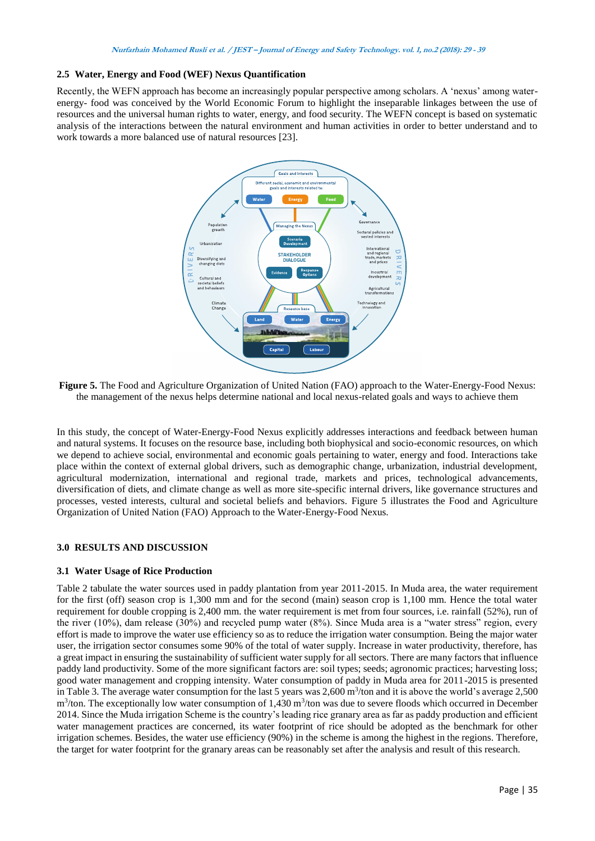### **2.5 Water, Energy and Food (WEF) Nexus Quantification**

Recently, the WEFN approach has become an increasingly popular perspective among scholars. A 'nexus' among waterenergy- food was conceived by the World Economic Forum to highlight the inseparable linkages between the use of resources and the universal human rights to water, energy, and food security. The WEFN concept is based on systematic analysis of the interactions between the natural environment and human activities in order to better understand and to work towards a more balanced use of natural resources [23].



**Figure 5.** The Food and Agriculture Organization of United Nation (FAO) approach to the Water-Energy-Food Nexus: the management of the nexus helps determine national and local nexus-related goals and ways to achieve them

In this study, the concept of Water-Energy-Food Nexus explicitly addresses interactions and feedback between human and natural systems. It focuses on the resource base, including both biophysical and socio-economic resources, on which we depend to achieve social, environmental and economic goals pertaining to water, energy and food. Interactions take place within the context of external global drivers, such as demographic change, urbanization, industrial development, agricultural modernization, international and regional trade, markets and prices, technological advancements, diversification of diets, and climate change as well as more site-specific internal drivers, like governance structures and processes, vested interests, cultural and societal beliefs and behaviors. Figure 5 illustrates the Food and Agriculture Organization of United Nation (FAO) Approach to the Water-Energy-Food Nexus.

# **3.0 RESULTS AND DISCUSSION**

### **3.1 Water Usage of Rice Production**

Table 2 tabulate the water sources used in paddy plantation from year 2011-2015. In Muda area, the water requirement for the first (off) season crop is 1,300 mm and for the second (main) season crop is 1,100 mm. Hence the total water requirement for double cropping is 2,400 mm. the water requirement is met from four sources, i.e. rainfall (52%), run of the river (10%), dam release (30%) and recycled pump water (8%). Since Muda area is a "water stress" region, every effort is made to improve the water use efficiency so as to reduce the irrigation water consumption. Being the major water user, the irrigation sector consumes some 90% of the total of water supply. Increase in water productivity, therefore, has a great impact in ensuring the sustainability of sufficient water supply for all sectors. There are many factors that influence paddy land productivity. Some of the more significant factors are: soil types; seeds; agronomic practices; harvesting loss; good water management and cropping intensity. Water consumption of paddy in Muda area for 2011-2015 is presented in Table 3. The average water consumption for the last 5 years was  $2,600 \text{ m}^3$ /ton and it is above the world's average  $2,500$  $m<sup>3</sup>/ton$ . The exceptionally low water consumption of 1,430  $m<sup>3</sup>/ton$  was due to severe floods which occurred in December 2014. Since the Muda irrigation Scheme is the country's leading rice granary area as far as paddy production and efficient water management practices are concerned, its water footprint of rice should be adopted as the benchmark for other irrigation schemes. Besides, the water use efficiency (90%) in the scheme is among the highest in the regions. Therefore, the target for water footprint for the granary areas can be reasonably set after the analysis and result of this research.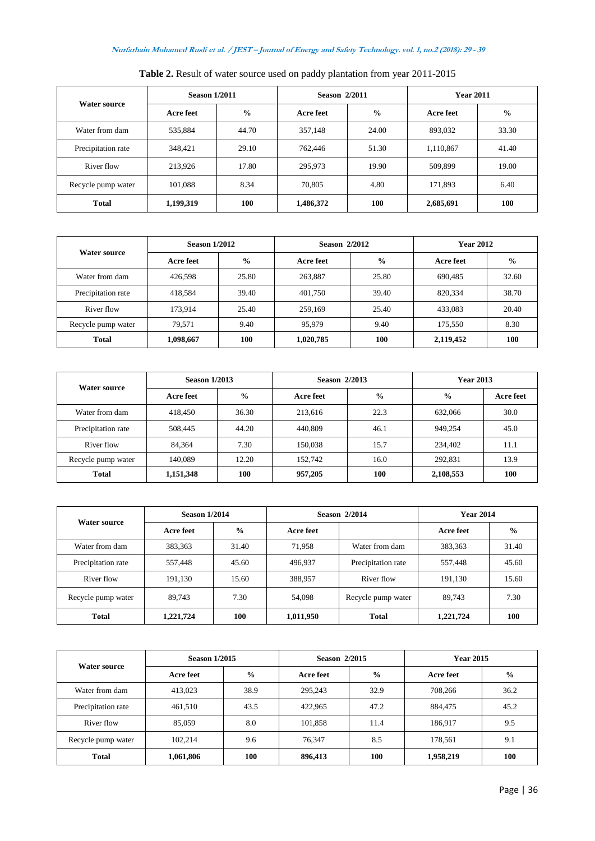|                     | <b>Season 1/2011</b> |               | <b>Season 2/2011</b> |               | <b>Year 2011</b> |               |
|---------------------|----------------------|---------------|----------------------|---------------|------------------|---------------|
| <b>Water source</b> | Acre feet            | $\frac{0}{0}$ | Acre feet            | $\frac{0}{0}$ | Acre feet        | $\frac{6}{9}$ |
| Water from dam      | 535.884              | 44.70         | 357,148              | 24.00         | 893,032          | 33.30         |
| Precipitation rate  | 348.421              | 29.10         | 762,446              | 51.30         | 1,110,867        | 41.40         |
| River flow          | 213,926              | 17.80         | 295,973              | 19.90         | 509.899          | 19.00         |
| Recycle pump water  | 101,088              | 8.34          | 70,805               | 4.80          | 171,893          | 6.40          |
| <b>Total</b>        | 1,199,319            | 100           | 1,486,372            | 100           | 2,685,691        | 100           |

**Table 2.** Result of water source used on paddy plantation from year 2011-2015

| Water source       | <b>Season 1/2012</b> |               | <b>Season 2/2012</b> |               | <b>Year 2012</b> |               |
|--------------------|----------------------|---------------|----------------------|---------------|------------------|---------------|
|                    | Acre feet            | $\frac{6}{6}$ | Acre feet            | $\frac{6}{6}$ | Acre feet        | $\frac{0}{0}$ |
| Water from dam     | 426.598              | 25.80         | 263,887              | 25.80         | 690,485          | 32.60         |
| Precipitation rate | 418,584              | 39.40         | 401.750              | 39.40         | 820,334          | 38.70         |
| River flow         | 173.914              | 25.40         | 259,169              | 25.40         | 433.083          | 20.40         |
| Recycle pump water | 79.571               | 9.40          | 95,979               | 9.40          | 175.550          | 8.30          |
| <b>Total</b>       | 1,098,667            | 100           | 1,020,785            | 100           | 2,119,452        | 100           |

| <b>Water source</b> | <b>Season 1/2013</b> |               | Season 2/2013 |               | <b>Year 2013</b> |           |
|---------------------|----------------------|---------------|---------------|---------------|------------------|-----------|
|                     | Acre feet            | $\frac{6}{6}$ | Acre feet     | $\frac{0}{0}$ | $\frac{0}{0}$    | Acre feet |
| Water from dam      | 418.450              | 36.30         | 213.616       | 22.3          | 632,066          | 30.0      |
| Precipitation rate  | 508,445              | 44.20         | 440,809       | 46.1          | 949.254          | 45.0      |
| River flow          | 84.364               | 7.30          | 150.038       | 15.7          | 234,402          | 11.1      |
| Recycle pump water  | 140.089              | 12.20         | 152.742       | 16.0          | 292.831          | 13.9      |
| <b>Total</b>        | 1,151,348            | 100           | 957,205       | 100           | 2,108,553        | 100       |

| <b>Water source</b> | <b>Season 1/2014</b> |               | <b>Season 2/2014</b> |                    | <b>Year 2014</b> |               |
|---------------------|----------------------|---------------|----------------------|--------------------|------------------|---------------|
|                     | Acre feet            | $\frac{6}{9}$ | Acre feet            |                    | Acre feet        | $\frac{6}{6}$ |
| Water from dam      | 383.363              | 31.40         | 71.958               | Water from dam     | 383,363          | 31.40         |
| Precipitation rate  | 557.448              | 45.60         | 496.937              | Precipitation rate | 557,448          | 45.60         |
| River flow          | 191.130              | 15.60         | 388,957              | River flow         | 191,130          | 15.60         |
| Recycle pump water  | 89.743               | 7.30          | 54,098               | Recycle pump water | 89.743           | 7.30          |
| <b>Total</b>        | 1,221,724            | 100           | 1,011,950            | <b>Total</b>       | 1,221,724        | <b>100</b>    |

| <b>Water source</b> | <b>Season 1/2015</b> |               | Season 2/2015 |               | <b>Year 2015</b> |               |
|---------------------|----------------------|---------------|---------------|---------------|------------------|---------------|
|                     | Acre feet            | $\frac{6}{9}$ | Acre feet     | $\frac{1}{2}$ | Acre feet        | $\frac{6}{9}$ |
| Water from dam      | 413,023              | 38.9          | 295,243       | 32.9          | 708,266          | 36.2          |
| Precipitation rate  | 461,510              | 43.5          | 422,965       | 47.2          | 884,475          | 45.2          |
| River flow          | 85,059               | 8.0           | 101,858       | 11.4          | 186,917          | 9.5           |
| Recycle pump water  | 102.214              | 9.6           | 76,347        | 8.5           | 178.561          | 9.1           |
| <b>Total</b>        | 1,061,806            | 100           | 896,413       | 100           | 1,958,219        | 100           |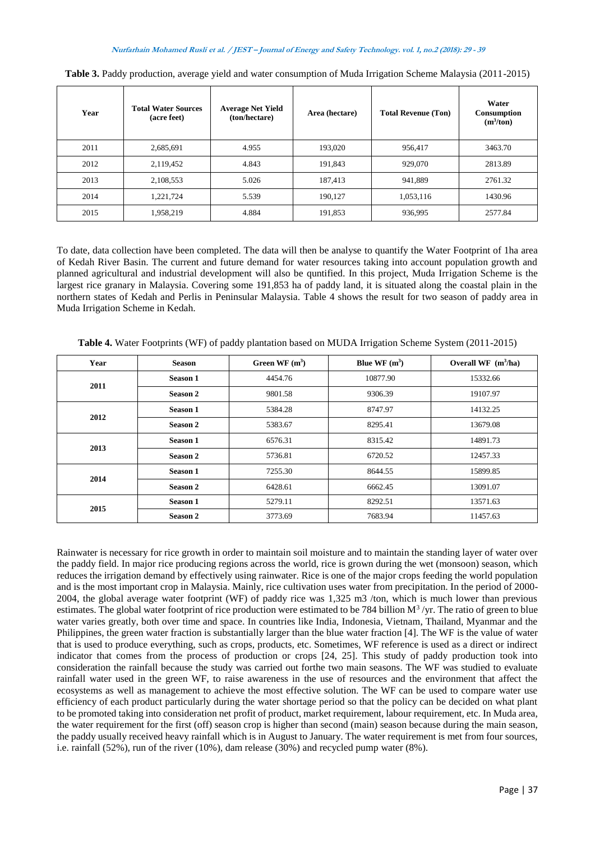| Year | <b>Total Water Sources</b><br>(acre feet) | <b>Average Net Yield</b><br>(ton/hectare) | Area (hectare) | <b>Total Revenue (Ton)</b> | Water<br><b>Consumption</b><br>$(m^3/ton)$ |
|------|-------------------------------------------|-------------------------------------------|----------------|----------------------------|--------------------------------------------|
| 2011 | 2,685,691                                 | 4.955                                     | 193,020        | 956,417                    | 3463.70                                    |
| 2012 | 2,119,452                                 | 4.843                                     | 191.843        | 929,070                    | 2813.89                                    |
| 2013 | 2,108,553                                 | 5.026                                     | 187,413        | 941,889                    | 2761.32                                    |
| 2014 | 1.221.724                                 | 5.539                                     | 190.127        | 1,053,116                  | 1430.96                                    |
| 2015 | 1,958,219                                 | 4.884                                     | 191,853        | 936,995                    | 2577.84                                    |

**Table 3.** Paddy production, average yield and water consumption of Muda Irrigation Scheme Malaysia (2011-2015)

To date, data collection have been completed. The data will then be analyse to quantify the Water Footprint of 1ha area of Kedah River Basin. The current and future demand for water resources taking into account population growth and planned agricultural and industrial development will also be quntified. In this project, Muda Irrigation Scheme is the largest rice granary in Malaysia. Covering some 191,853 ha of paddy land, it is situated along the coastal plain in the northern states of Kedah and Perlis in Peninsular Malaysia. Table 4 shows the result for two season of paddy area in Muda Irrigation Scheme in Kedah.

| Year | <b>Season</b> | Green WF $(m^3)$ | Blue WF $(m^3)$ | Overall WF $(m^3/ha)$ |
|------|---------------|------------------|-----------------|-----------------------|
| 2011 | Season 1      | 4454.76          | 10877.90        | 15332.66              |
|      | Season 2      | 9801.58          | 9306.39         | 19107.97              |
| 2012 | Season 1      | 5384.28          | 8747.97         | 14132.25              |
|      | Season 2      | 5383.67          | 8295.41         | 13679.08              |
| 2013 | Season 1      | 6576.31          | 8315.42         | 14891.73              |
|      | Season 2      | 5736.81          | 6720.52         | 12457.33              |
|      | Season 1      | 7255.30          | 8644.55         | 15899.85              |
| 2014 | Season 2      | 6428.61          | 6662.45         | 13091.07              |
| 2015 | Season 1      | 5279.11          | 8292.51         | 13571.63              |
|      | Season 2      | 3773.69          | 7683.94         | 11457.63              |

**Table 4.** Water Footprints (WF) of paddy plantation based on MUDA Irrigation Scheme System (2011-2015)

Rainwater is necessary for rice growth in order to maintain soil moisture and to maintain the standing layer of water over the paddy field. In major rice producing regions across the world, rice is grown during the wet (monsoon) season, which reduces the irrigation demand by effectively using rainwater. Rice is one of the major crops feeding the world population and is the most important crop in Malaysia. Mainly, rice cultivation uses water from precipitation. In the period of 2000- 2004, the global average water footprint (WF) of paddy rice was 1,325 m3 /ton, which is much lower than previous estimates. The global water footprint of rice production were estimated to be 784 billion  $M^3$ /yr. The ratio of green to blue water varies greatly, both over time and space. In countries like India, Indonesia, Vietnam, Thailand, Myanmar and the Philippines, the green water fraction is substantially larger than the blue water fraction [4]. The WF is the value of water that is used to produce everything, such as crops, products, etc. Sometimes, WF reference is used as a direct or indirect indicator that comes from the process of production or crops [24, 25]. This study of paddy production took into consideration the rainfall because the study was carried out forthe two main seasons. The WF was studied to evaluate rainfall water used in the green WF, to raise awareness in the use of resources and the environment that affect the ecosystems as well as management to achieve the most effective solution. The WF can be used to compare water use efficiency of each product particularly during the water shortage period so that the policy can be decided on what plant to be promoted taking into consideration net profit of product, market requirement, labour requirement, etc. In Muda area, the water requirement for the first (off) season crop is higher than second (main) season because during the main season, the paddy usually received heavy rainfall which is in August to January. The water requirement is met from four sources, i.e. rainfall (52%), run of the river (10%), dam release (30%) and recycled pump water (8%).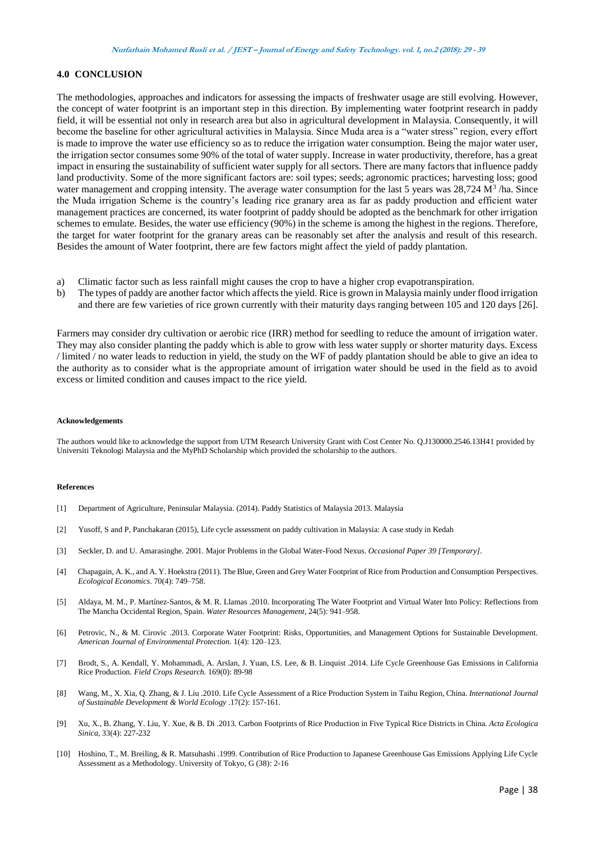### **4.0 CONCLUSION**

The methodologies, approaches and indicators for assessing the impacts of freshwater usage are still evolving. However, the concept of water footprint is an important step in this direction. By implementing water footprint research in paddy field, it will be essential not only in research area but also in agricultural development in Malaysia. Consequently, it will become the baseline for other agricultural activities in Malaysia. Since Muda area is a "water stress" region, every effort is made to improve the water use efficiency so as to reduce the irrigation water consumption. Being the major water user, the irrigation sector consumes some 90% of the total of water supply. Increase in water productivity, therefore, has a great impact in ensuring the sustainability of sufficient water supply for all sectors. There are many factors that influence paddy land productivity. Some of the more significant factors are: soil types; seeds; agronomic practices; harvesting loss; good water management and cropping intensity. The average water consumption for the last 5 years was 28,724 M<sup>3</sup>/ha. Since the Muda irrigation Scheme is the country's leading rice granary area as far as paddy production and efficient water management practices are concerned, its water footprint of paddy should be adopted as the benchmark for other irrigation schemes to emulate. Besides, the water use efficiency (90%) in the scheme is among the highest in the regions. Therefore, the target for water footprint for the granary areas can be reasonably set after the analysis and result of this research. Besides the amount of Water footprint, there are few factors might affect the yield of paddy plantation.

- a) Climatic factor such as less rainfall might causes the crop to have a higher crop evapotranspiration.
- b) The types of paddy are another factor which affects the yield. Rice is grown in Malaysia mainly under flood irrigation and there are few varieties of rice grown currently with their maturity days ranging between 105 and 120 days [26].

Farmers may consider dry cultivation or aerobic rice (IRR) method for seedling to reduce the amount of irrigation water. They may also consider planting the paddy which is able to grow with less water supply or shorter maturity days. Excess / limited / no water leads to reduction in yield, the study on the WF of paddy plantation should be able to give an idea to the authority as to consider what is the appropriate amount of irrigation water should be used in the field as to avoid excess or limited condition and causes impact to the rice yield.

#### **Acknowledgements**

The authors would like to acknowledge the support from UTM Research University Grant with Cost Center No. Q.J130000.2546.13H41 provided by Universiti Teknologi Malaysia and the MyPhD Scholarship which provided the scholarship to the authors.

#### **References**

- [1] Department of Agriculture, Peninsular Malaysia. (2014). Paddy Statistics of Malaysia 2013. Malaysia
- [2] Yusoff, S and P, Panchakaran (2015), Life cycle assessment on paddy cultivation in Malaysia: A case study in Kedah
- [3] Seckler, D. and U. Amarasinghe. 2001. Major Problems in the Global Water-Food Nexus. *Occasional Paper 39 [Temporary]*.
- [4] Chapagain, A. K., and A. Y. Hoekstra (2011). The Blue, Green and Grey Water Footprint of Rice from Production and Consumption Perspectives. *Ecological Economics*. 70(4): 749–758.
- [5] Aldaya, M. M., P. Martínez-Santos, & M. R. Llamas .2010. Incorporating The Water Footprint and Virtual Water Into Policy: Reflections from The Mancha Occidental Region, Spain. *Water Resources Management*, 24(5): 941–958.
- [6] Petrovic, N., & M. Cirovic .2013. Corporate Water Footprint: Risks, Opportunities, and Management Options for Sustainable Development. *American Journal of Environmental Protection.* 1(4): 120–123.
- [7] Brodt, S., A. Kendall, Y. Mohammadi, A. Arslan, J. Yuan, I.S. Lee, & B. Linquist .2014. Life Cycle Greenhouse Gas Emissions in California Rice Production. *Field Crops Research.* 169(0): 89-98
- [8] Wang, M., X. Xia, Q. Zhang, & J. Liu .2010. Life Cycle Assessment of a Rice Production System in Taihu Region, China. *International Journal of Sustainable Development & World Ecology* .17(2): 157-161.
- [9] Xu, X., B. Zhang, Y. Liu, Y. Xue, & B. Di .2013. Carbon Footprints of Rice Production in Five Typical Rice Districts in China. *Acta Ecologica Sinica*, 33(4): 227-232
- [10] Hoshino, T., M. Breiling, & R. Matsuhashi .1999. Contribution of Rice Production to Japanese Greenhouse Gas Emissions Applying Life Cycle Assessment as a Methodology. University of Tokyo, G (38): 2-16